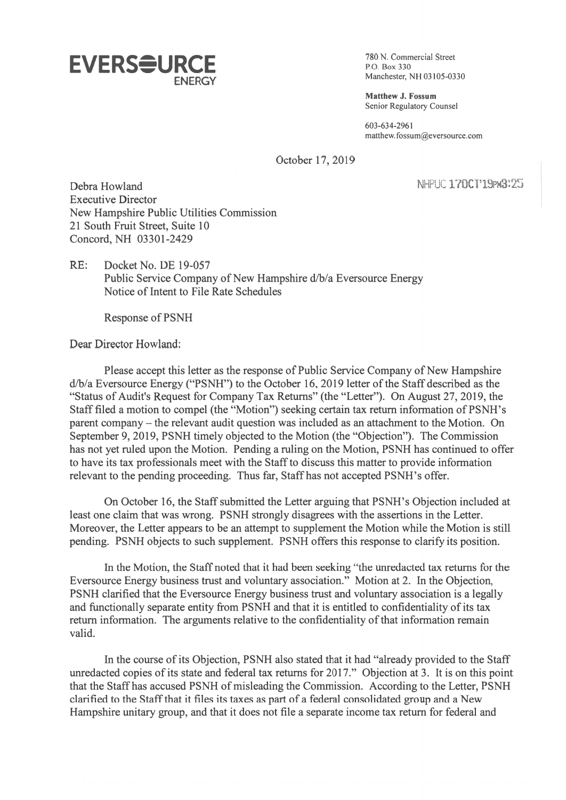

**ENERGY** Manchester, NH 03105-0330

Matthew J. Fossum Senior Regulatory Counsel

603-634-2961 matthew.fossum@eversource.com

October 17, 2019

Debra Howland NHFUC 170CT 19PM3:25 Executive Director New Hampshire Public Utilities Commission 21 South Fruit Street, Suite 10 Concord, NH 03301-2429

RE: Docket No. DE 19-057 Public Service Company of New Hampshire d/b/a Eversource Energy Notice of Intent to File Rate Schedules

Response of PSNH

Dear Director Howland:

Please accep<sup>t</sup> this letter as the response of Public Service Company of New Hampshire d/b/a Eversource Energy ("PSNH") to the October 16, 2019 letter of the Staff described as the "Status of Audit's Request for Company Tax Returns" (the "Letter"). On August 27, 2019, the Staff filed <sup>a</sup> motion to compel (the "Motion") seeking certain tax return information of PSNH's paren<sup>t</sup> company — the relevant audit question was included as an attachment to the Motion. On September 9, 2019, PSNH timely objected to the Motion (the "Objection"). The Commission has not ye<sup>t</sup> ruled upon the Motion. Pending <sup>a</sup> ruling on the Motion, PSNH has continued to offer to have its tax professionals meet with the Staffto discuss this matter to provide information relevant to the pending proceeding. Thus far, Staffhas not accepted PSNH's offer.

On October 16, the Staff submitted the Letter arguing that PSNH's Objection included at least one claim that was wrong. PSNH strongly disagrees with the assertions in the Letter. Moreover, the Letter appears to be an attempt to supplement the Motion while the Motion is still pending. PSNH objects to such supplement. PSNH offers this response to clarify its position.

In the Motion, the Staff noted that it had been seeking "the unredacted tax returns for the Eversource Energy business trust and voluntary association." Motion at 2. In the Objection, PSNH clarified that the Eversource Energy business trust and voluntary association is <sup>a</sup> legally and functionally separate entity from PSNH and that it is entitled to confidentiality of its tax return information. The arguments relative to the confidentiality of that information remain valid.

In the course of its Objection, PSNH also stated that it had "already provided to the Staff unredacted copies of its state and federal tax returns for 2017." Objection at 3. It is on this point that the Staff has accused PSNH of misleading the Commission. According to the Letter, PSNH clarified to the Staffthat it files its taxes as par<sup>t</sup> of <sup>a</sup> federal consolidated group and <sup>a</sup> New Hampshire unitary group, and that it does not file <sup>a</sup> separate income tax return for federal and